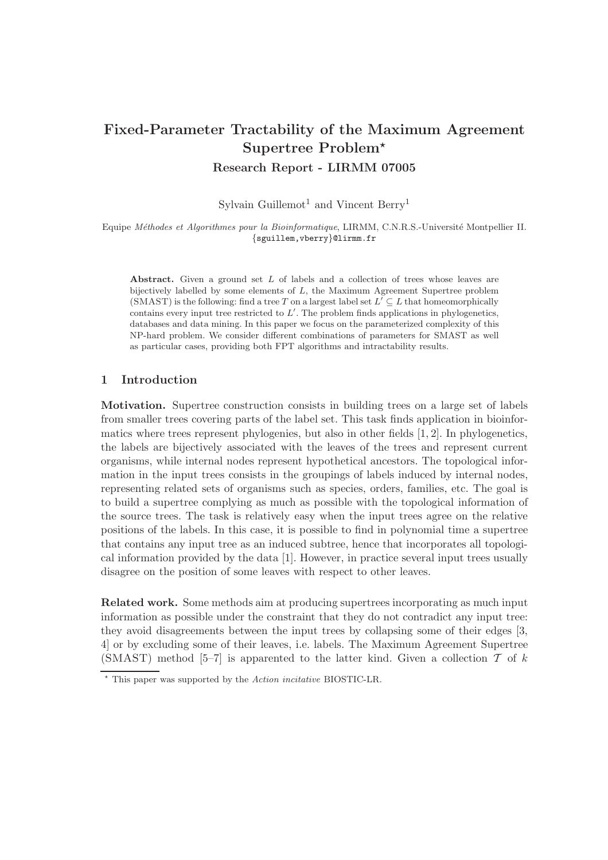# Fixed-Parameter Tractability of the Maximum Agreement Supertree Problem<sup>\*</sup> Research Report - LIRMM 07005

Sylvain Guillemot<sup>1</sup> and Vincent Berry<sup>1</sup>

Equipe Méthodes et Algorithmes pour la Bioinformatique, LIRMM, C.N.R.S.-Université Montpellier II. {sguillem,vberry}@lirmm.fr

Abstract. Given a ground set L of labels and a collection of trees whose leaves are bijectively labelled by some elements of L, the Maximum Agreement Supertree problem  $(SMAST)$  is the following: find a tree T on a largest label set  $L' \subseteq L$  that homeomorphically contains every input tree restricted to  $L'$ . The problem finds applications in phylogenetics, databases and data mining. In this paper we focus on the parameterized complexity of this NP-hard problem. We consider different combinations of parameters for SMAST as well as particular cases, providing both FPT algorithms and intractability results.

#### 1 Introduction

Motivation. Supertree construction consists in building trees on a large set of labels from smaller trees covering parts of the label set. This task finds application in bioinformatics where trees represent phylogenies, but also in other fields [1, 2]. In phylogenetics, the labels are bijectively associated with the leaves of the trees and represent current organisms, while internal nodes represent hypothetical ancestors. The topological information in the input trees consists in the groupings of labels induced by internal nodes, representing related sets of organisms such as species, orders, families, etc. The goal is to build a supertree complying as much as possible with the topological information of the source trees. The task is relatively easy when the input trees agree on the relative positions of the labels. In this case, it is possible to find in polynomial time a supertree that contains any input tree as an induced subtree, hence that incorporates all topological information provided by the data [1]. However, in practice several input trees usually disagree on the position of some leaves with respect to other leaves.

Related work. Some methods aim at producing supertrees incorporating as much input information as possible under the constraint that they do not contradict any input tree: they avoid disagreements between the input trees by collapsing some of their edges [3, 4] or by excluding some of their leaves, i.e. labels. The Maximum Agreement Supertree (SMAST) method [5–7] is apparented to the latter kind. Given a collection  $\mathcal T$  of  $k$ 

 $\star$  This paper was supported by the Action incitative BIOSTIC-LR.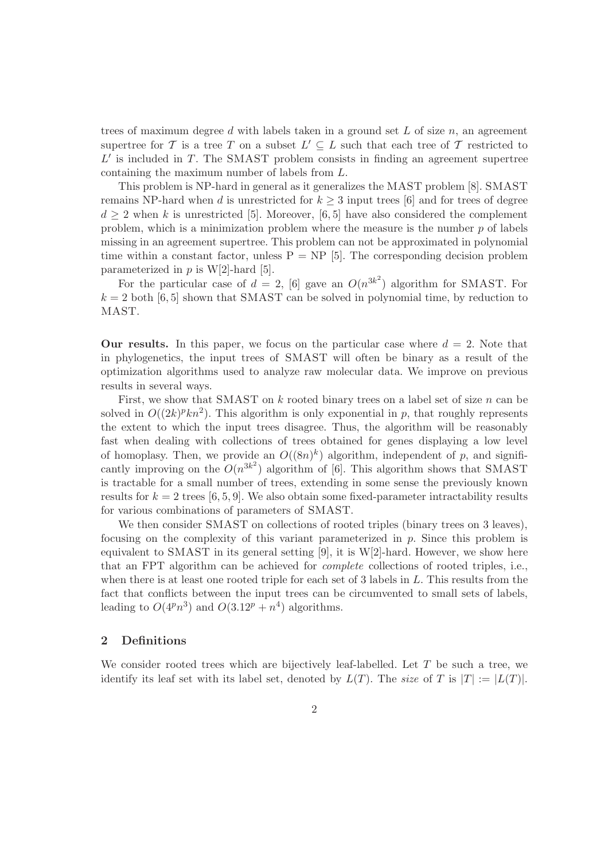trees of maximum degree d with labels taken in a ground set L of size  $n$ , an agreement supertree for T is a tree T on a subset  $L' \subseteq L$  such that each tree of T restricted to  $L'$  is included in  $T$ . The SMAST problem consists in finding an agreement supertree containing the maximum number of labels from L.

This problem is NP-hard in general as it generalizes the MAST problem [8]. SMAST remains NP-hard when d is unrestricted for  $k \geq 3$  input trees [6] and for trees of degree  $d \geq 2$  when k is unrestricted [5]. Moreover, [6, 5] have also considered the complement problem, which is a minimization problem where the measure is the number  $p$  of labels missing in an agreement supertree. This problem can not be approximated in polynomial time within a constant factor, unless  $P = NP$  [5]. The corresponding decision problem parameterized in  $p$  is W[2]-hard [5].

For the particular case of  $d = 2$ , [6] gave an  $O(n^{3k^2})$  algorithm for SMAST. For  $k = 2$  both [6, 5] shown that SMAST can be solved in polynomial time, by reduction to MAST.

**Our results.** In this paper, we focus on the particular case where  $d = 2$ . Note that in phylogenetics, the input trees of SMAST will often be binary as a result of the optimization algorithms used to analyze raw molecular data. We improve on previous results in several ways.

First, we show that SMAST on  $k$  rooted binary trees on a label set of size  $n$  can be solved in  $O((2k)^p k n^2)$ . This algorithm is only exponential in p, that roughly represents the extent to which the input trees disagree. Thus, the algorithm will be reasonably fast when dealing with collections of trees obtained for genes displaying a low level of homoplasy. Then, we provide an  $O((8n)^k)$  algorithm, independent of p, and significantly improving on the  $O(n^{3k^2})$  algorithm of [6]. This algorithm shows that SMAST is tractable for a small number of trees, extending in some sense the previously known results for  $k = 2$  trees [6, 5, 9]. We also obtain some fixed-parameter intractability results for various combinations of parameters of SMAST.

We then consider SMAST on collections of rooted triples (binary trees on 3 leaves), focusing on the complexity of this variant parameterized in  $p$ . Since this problem is equivalent to SMAST in its general setting  $[9]$ , it is W[2]-hard. However, we show here that an FPT algorithm can be achieved for complete collections of rooted triples, i.e., when there is at least one rooted triple for each set of 3 labels in L. This results from the fact that conflicts between the input trees can be circumvented to small sets of labels, leading to  $O(4^p n^3)$  and  $O(3.12^p + n^4)$  algorithms.

#### 2 Definitions

We consider rooted trees which are bijectively leaf-labelled. Let  $T$  be such a tree, we identify its leaf set with its label set, denoted by  $L(T)$ . The size of T is  $|T| := |L(T)|$ .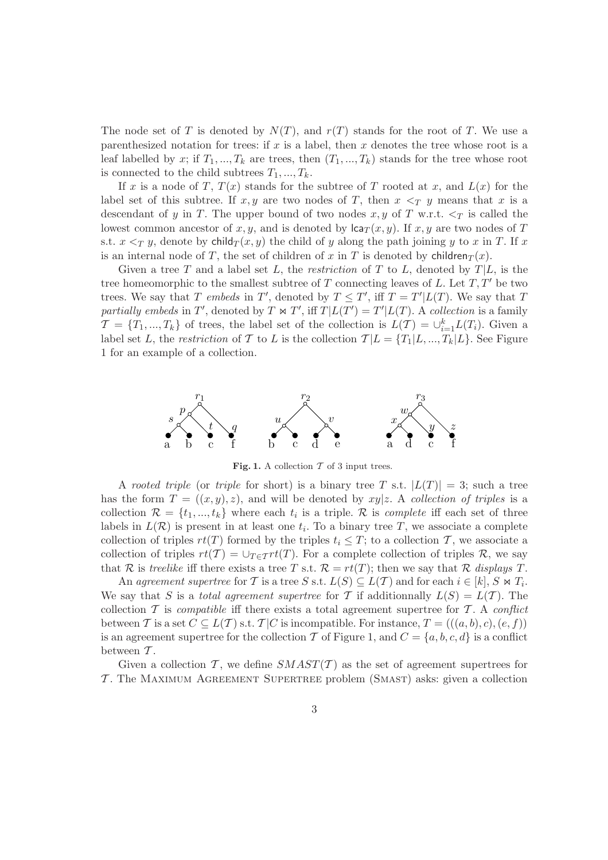The node set of T is denoted by  $N(T)$ , and  $r(T)$  stands for the root of T. We use a parenthesized notation for trees: if  $x$  is a label, then  $x$  denotes the tree whose root is a leaf labelled by x; if  $T_1, ..., T_k$  are trees, then  $(T_1, ..., T_k)$  stands for the tree whose root is connected to the child subtrees  $T_1, ..., T_k$ .

If x is a node of T,  $T(x)$  stands for the subtree of T rooted at x, and  $L(x)$  for the label set of this subtree. If x, y are two nodes of T, then  $x \leq_T y$  means that x is a descendant of y in T. The upper bound of two nodes  $x, y$  of T w.r.t.  $\leq_T$  is called the lowest common ancestor of x, y, and is denoted by  $lca_T(x, y)$ . If x, y are two nodes of T s.t.  $x \leq_T y$ , denote by child $T(x, y)$  the child of y along the path joining y to x in T. If x is an internal node of T, the set of children of x in T is denoted by children $T(x)$ .

Given a tree T and a label set L, the restriction of T to L, denoted by  $T|L$ , is the tree homeomorphic to the smallest subtree of  $T$  connecting leaves of  $L$ . Let  $T, T'$  be two trees. We say that T embeds in T', denoted by  $T \leq T'$ , iff  $T = T'|L(T)$ . We say that T partially embeds in T', denoted by  $T \Join T'$ , iff  $T|L(T') = T'|L(T)$ . A collection is a family  $\mathcal{T} = \{T_1, ..., T_k\}$  of trees, the label set of the collection is  $L(\mathcal{T}) = \bigcup_{i=1}^k L(T_i)$ . Given a label set L, the restriction of T to L is the collection  $T | L = {T_1 | L, ..., T_k | L}$ . See Figure 1 for an example of a collection.



Fig. 1. A collection  $\mathcal T$  of 3 input trees.

A rooted triple (or triple for short) is a binary tree T s.t.  $|L(T)| = 3$ ; such a tree has the form  $T = ((x, y), z)$ , and will be denoted by xy|z. A collection of triples is a collection  $\mathcal{R} = \{t_1, ..., t_k\}$  where each  $t_i$  is a triple. R is *complete* iff each set of three labels in  $L(\mathcal{R})$  is present in at least one  $t_i$ . To a binary tree T, we associate a complete collection of triples  $rt(T)$  formed by the triples  $t_i \leq T$ ; to a collection T, we associate a collection of triples  $rt(T) = \cup_{T \in \mathcal{T}} rt(T)$ . For a complete collection of triples R, we say that R is treelike iff there exists a tree T s.t.  $\mathcal{R} = rt(T)$ ; then we say that R displays T.

An agreement supertree for T is a tree S s.t.  $L(S) \subseteq L(\mathcal{T})$  and for each  $i \in [k], S \bowtie T_i$ . We say that S is a total agreement supertree for T if additionnally  $L(S) = L(T)$ . The collection T is *compatible* iff there exists a total agreement supertree for T. A *conflict* between T is a set  $C \subseteq L(T)$  s.t.  $T|C$  is incompatible. For instance,  $T = (((a, b), c), (e, f))$ is an agreement supertree for the collection T of Figure 1, and  $C = \{a, b, c, d\}$  is a conflict between  $T$ .

Given a collection T, we define  $SMAST(T)$  as the set of agreement supertrees for  $\mathcal T$ . The MAXIMUM AGREEMENT SUPERTREE problem (SMAST) asks: given a collection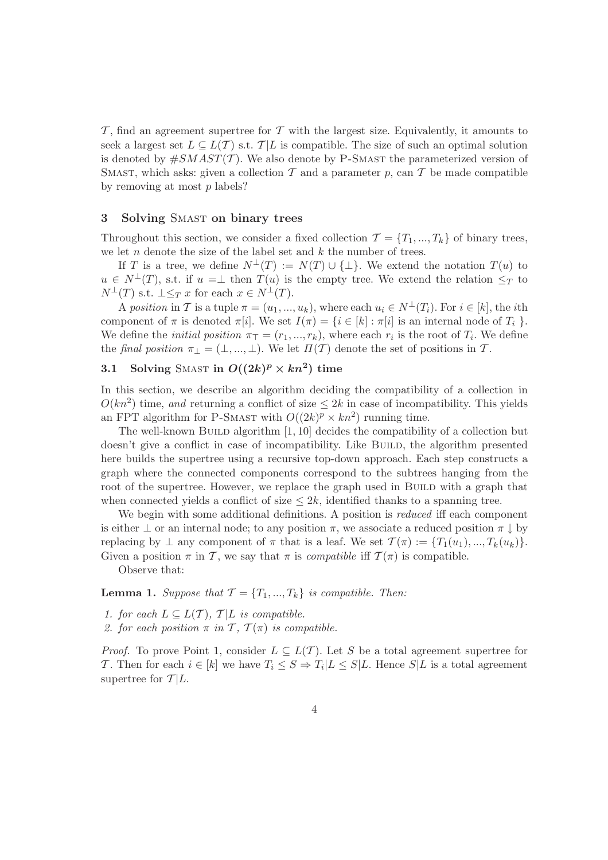T, find an agreement supertree for T with the largest size. Equivalently, it amounts to seek a largest set  $L \subseteq L(\mathcal{T})$  s.t.  $\mathcal{T}|L$  is compatible. The size of such an optimal solution is denoted by  $\#SMAST(\mathcal{T})$ . We also denote by P-SMAST the parameterized version of SMAST, which asks: given a collection  $\mathcal T$  and a parameter  $p$ , can  $\mathcal T$  be made compatible by removing at most  $p$  labels?

#### 3 Solving SMAST on binary trees

Throughout this section, we consider a fixed collection  $\mathcal{T} = \{T_1, ..., T_k\}$  of binary trees, we let  $n$  denote the size of the label set and  $k$  the number of trees.

If T is a tree, we define  $N^{\perp}(T) := N(T) \cup {\perp}$ . We extend the notation  $T(u)$  to  $u \in N^{\perp}(T)$ , s.t. if  $u = \perp$  then  $T(u)$  is the empty tree. We extend the relation  $\leq_T$  to  $N^{\perp}(T)$  s.t.  $\perp \leq_T x$  for each  $x \in N^{\perp}(T)$ .

A position in T is a tuple  $\pi = (u_1, ..., u_k)$ , where each  $u_i \in N^{\perp}(T_i)$ . For  $i \in [k]$ , the *i*th component of  $\pi$  is denoted  $\pi[i]$ . We set  $I(\pi) = \{i \in [k] : \pi[i]$  is an internal node of  $T_i$ . We define the *initial position*  $\pi_{\top} = (r_1, ..., r_k)$ , where each  $r_i$  is the root of  $T_i$ . We define the final position  $\pi_{\perp} = (\perp, ..., \perp)$ . We let  $\Pi(\mathcal{T})$  denote the set of positions in  $\mathcal{T}$ .

## 3.1 Solving SMAST in  $O((2k)^p \times kn^2)$  time

In this section, we describe an algorithm deciding the compatibility of a collection in  $O(kn^2)$  time, and returning a conflict of size  $\leq 2k$  in case of incompatibility. This yields an FPT algorithm for P-SMAST with  $O((2k)^p \times kn^2)$  running time.

The well-known BUILD algorithm  $[1, 10]$  decides the compatibility of a collection but doesn't give a conflict in case of incompatibility. Like BUILD, the algorithm presented here builds the supertree using a recursive top-down approach. Each step constructs a graph where the connected components correspond to the subtrees hanging from the root of the supertree. However, we replace the graph used in BUILD with a graph that when connected yields a conflict of size  $\leq 2k$ , identified thanks to a spanning tree.

We begin with some additional definitions. A position is *reduced* iff each component is either  $\perp$  or an internal node; to any position  $\pi$ , we associate a reduced position  $\pi \downarrow$  by replacing by  $\perp$  any component of  $\pi$  that is a leaf. We set  $\mathcal{T}(\pi) := \{T_1(u_1), ..., T_k(u_k)\}\$ . Given a position  $\pi$  in T, we say that  $\pi$  is *compatible* iff  $\mathcal{T}(\pi)$  is compatible.

Observe that:

**Lemma 1.** Suppose that  $\mathcal{T} = \{T_1, ..., T_k\}$  is compatible. Then:

- 1. for each  $L \subseteq L(\mathcal{T})$ ,  $\mathcal{T}|L$  is compatible.
- 2. for each position  $\pi$  in  $\mathcal{T}, \mathcal{T}(\pi)$  is compatible.

*Proof.* To prove Point 1, consider  $L \subseteq L(\mathcal{T})$ . Let S be a total agreement supertree for T. Then for each  $i \in [k]$  we have  $T_i \leq S \Rightarrow T_i | L \leq S | L$ . Hence  $S | L$  is a total agreement supertree for  $\mathcal{T}|L$ .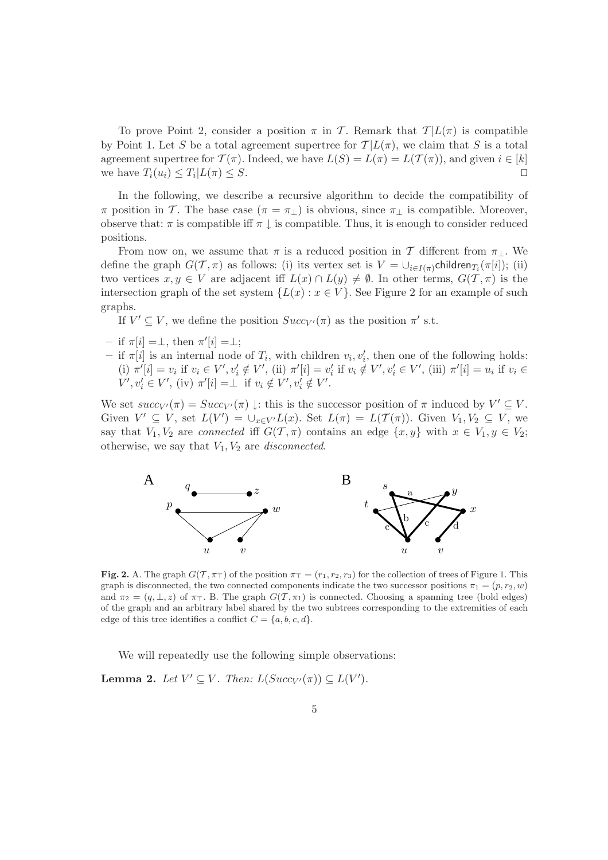To prove Point 2, consider a position  $\pi$  in T. Remark that  $T |L(\pi)$  is compatible by Point 1. Let S be a total agreement supertree for  $T |L(\pi)$ , we claim that S is a total agreement supertree for  $\mathcal{T}(\pi)$ . Indeed, we have  $L(S) = L(\pi) = L(\mathcal{T}(\pi))$ , and given  $i \in [k]$ we have  $T_i(u_i) \leq T_i |L(\pi) \leq S$ .

In the following, we describe a recursive algorithm to decide the compatibility of  $\pi$  position in T. The base case ( $\pi = \pi_{\perp}$ ) is obvious, since  $\pi_{\perp}$  is compatible. Moreover, observe that:  $\pi$  is compatible iff  $\pi \downarrow$  is compatible. Thus, it is enough to consider reduced positions.

From now on, we assume that  $\pi$  is a reduced position in T different from  $\pi_{\perp}$ . We define the graph  $G(\mathcal{T}, \pi)$  as follows: (i) its vertex set is  $V = \bigcup_{i \in I(\pi)}$ children $T_i(\pi[i])$ ; (ii) two vertices  $x, y \in V$  are adjacent iff  $L(x) \cap L(y) \neq \emptyset$ . In other terms,  $G(\mathcal{T}, \pi)$  is the intersection graph of the set system  $\{L(x): x \in V\}$ . See Figure 2 for an example of such graphs.

If  $V' \subseteq V$ , we define the position  $Succ_{V'}(\pi)$  as the position  $\pi'$  s.t.

- $-$  if  $\pi[i] = \perp$ , then  $\pi'[i] = \perp$ ;
- if  $\pi[i]$  is an internal node of  $T_i$ , with children  $v_i, v'_i$ , then one of the following holds: (i)  $\pi'[i] = v_i$  if  $v_i \in V', v'_i \notin V'$ , (ii)  $\pi'[i] = v'_i$  if  $v_i \notin V', v'_i \in V'$ , (iii)  $\pi'[i] = u_i$  if  $v_i \in V'$  $V', v'_i \in V', \text{ (iv) } \pi'[i] = \perp \text{ if } v_i \notin V', v'_i \notin V'.$

We set  $succ_V(\pi) = Succ_{V'}(\pi) \downarrow$ : this is the successor position of  $\pi$  induced by  $V' \subseteq V$ . Given  $V' \subseteq V$ , set  $L(V') = \bigcup_{x \in V'} L(x)$ . Set  $L(\pi) = L(\mathcal{T}(\pi))$ . Given  $V_1, V_2 \subseteq V$ , we say that  $V_1, V_2$  are connected iff  $G(\mathcal{T}, \pi)$  contains an edge  $\{x, y\}$  with  $x \in V_1, y \in V_2$ ; otherwise, we say that  $V_1, V_2$  are *disconnected*.



Fig. 2. A. The graph  $G(\mathcal{T}, \pi_{\top})$  of the position  $\pi_{\top} = (r_1, r_2, r_3)$  for the collection of trees of Figure 1. This graph is disconnected, the two connected components indicate the two successor positions  $\pi_1 = (p, r_2, w)$ and  $\pi_2 = (q, \perp, z)$  of  $\pi_{\perp}$ . B. The graph  $G(\mathcal{T}, \pi_1)$  is connected. Choosing a spanning tree (bold edges) of the graph and an arbitrary label shared by the two subtrees corresponding to the extremities of each edge of this tree identifies a conflict  $C = \{a, b, c, d\}.$ 

We will repeatedly use the following simple observations:

**Lemma 2.** Let  $V' \subseteq V$ . Then:  $L(Succ_{V'}(\pi)) \subseteq L(V')$ .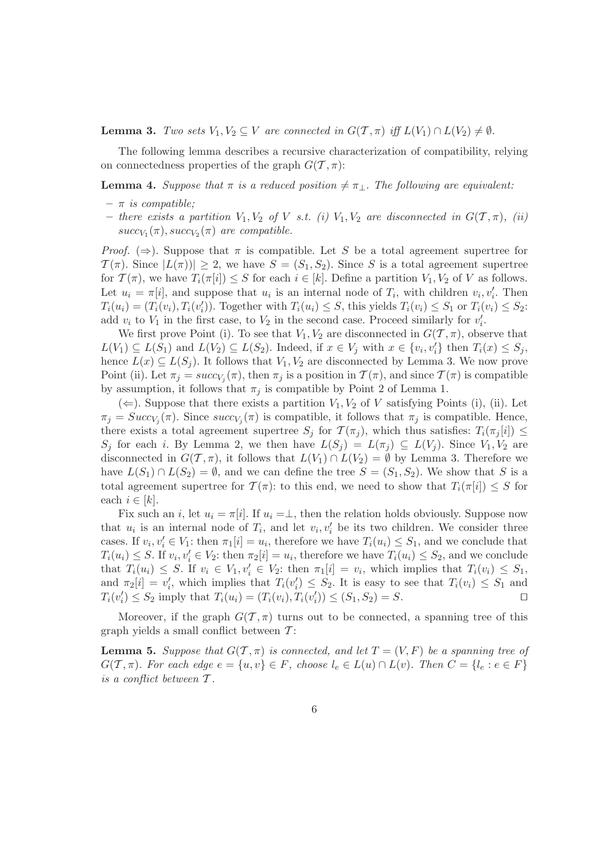**Lemma 3.** Two sets  $V_1, V_2 \subseteq V$  are connected in  $G(T, \pi)$  iff  $L(V_1) \cap L(V_2) \neq \emptyset$ .

The following lemma describes a recursive characterization of compatibility, relying on connectedness properties of the graph  $G(\mathcal{T}, \pi)$ :

**Lemma 4.** Suppose that  $\pi$  is a reduced position  $\neq \pi_1$ . The following are equivalent:

- $\pi$  is compatible;
- there exists a partition  $V_1, V_2$  of V s.t. (i)  $V_1, V_2$  are disconnected in  $G(T, \pi)$ , (ii)  $succ_{V_1}(\pi), succ_{V_2}(\pi)$  are compatible.

*Proof.* ( $\Rightarrow$ ). Suppose that  $\pi$  is compatible. Let S be a total agreement supertree for  $\mathcal{T}(\pi)$ . Since  $|L(\pi)| \geq 2$ , we have  $S = (S_1, S_2)$ . Since S is a total agreement supertree for  $\mathcal{T}(\pi)$ , we have  $T_i(\pi[i]) \leq S$  for each  $i \in [k]$ . Define a partition  $V_1, V_2$  of V as follows. Let  $u_i = \pi[i]$ , and suppose that  $u_i$  is an internal node of  $T_i$ , with children  $v_i, v'_i$ . Then  $T_i(u_i) = (T_i(v_i), T_i(v'_i))$ . Together with  $T_i(u_i) \leq S$ , this yields  $T_i(v_i) \leq S_1$  or  $T_i(v_i) \leq S_2$ : add  $v_i$  to  $V_1$  in the first case, to  $V_2$  in the second case. Proceed similarly for  $v'_i$ .

We first prove Point (i). To see that  $V_1, V_2$  are disconnected in  $G(\mathcal{T}, \pi)$ , observe that  $L(V_1) \subseteq L(S_1)$  and  $L(V_2) \subseteq L(S_2)$ . Indeed, if  $x \in V_j$  with  $x \in \{v_i, v'_i\}$  then  $T_i(x) \leq S_j$ , hence  $L(x) \subseteq L(S_j)$ . It follows that  $V_1, V_2$  are disconnected by Lemma 3. We now prove Point (ii). Let  $\pi_j = succ_{V_j}(\pi)$ , then  $\pi_j$  is a position in  $\mathcal{T}(\pi)$ , and since  $\mathcal{T}(\pi)$  is compatible by assumption, it follows that  $\pi_j$  is compatible by Point 2 of Lemma 1.

 $(\Leftarrow)$ . Suppose that there exists a partition  $V_1, V_2$  of V satisfying Points (i), (ii). Let  $\pi_j = Succ_{V_j}(\pi)$ . Since  $succ_{V_j}(\pi)$  is compatible, it follows that  $\pi_j$  is compatible. Hence, there exists a total agreement supertree  $S_i$  for  $\mathcal{T}(\pi_i)$ , which thus satisfies:  $T_i(\pi_i[i]) \leq$  $S_j$  for each i. By Lemma 2, we then have  $L(S_j) = L(\pi_j) \subseteq L(V_j)$ . Since  $V_1, V_2$  are disconnected in  $G(\mathcal{T}, \pi)$ , it follows that  $L(V_1) \cap L(V_2) = \emptyset$  by Lemma 3. Therefore we have  $L(S_1) \cap L(S_2) = \emptyset$ , and we can define the tree  $S = (S_1, S_2)$ . We show that S is a total agreement supertree for  $\mathcal{T}(\pi)$ : to this end, we need to show that  $T_i(\pi[i]) \leq S$  for each  $i \in [k]$ .

Fix such an i, let  $u_i = \pi[i]$ . If  $u_i = \perp$ , then the relation holds obviously. Suppose now that  $u_i$  is an internal node of  $T_i$ , and let  $v_i, v'_i$  be its two children. We consider three cases. If  $v_i, v'_i \in V_1$ : then  $\pi_1[i] = u_i$ , therefore we have  $T_i(u_i) \leq S_1$ , and we conclude that  $T_i(u_i) \leq S$ . If  $v_i, v'_i \in V_2$ : then  $\pi_2[i] = u_i$ , therefore we have  $T_i(u_i) \leq S_2$ , and we conclude that  $T_i(u_i) \leq S$ . If  $v_i \in V_1, v'_i \in V_2$ : then  $\pi_1[i] = v_i$ , which implies that  $T_i(v_i) \leq S_1$ , and  $\pi_2[i] = v'_i$ , which implies that  $T_i(v'_i) \leq S_2$ . It is easy to see that  $T_i(v_i) \leq S_1$  and  $T_i(v'_i) \leq S_2$  imply that  $T_i(u_i) = (T_i(v_i), T_i(v'_i)) \leq (S_1, S_2) = S$ .

Moreover, if the graph  $G(T, \pi)$  turns out to be connected, a spanning tree of this graph yields a small conflict between  $\mathcal{T}$ :

**Lemma 5.** Suppose that  $G(T, \pi)$  is connected, and let  $T = (V, F)$  be a spanning tree of  $G(\mathcal{T}, \pi)$ . For each edge  $e = \{u, v\} \in F$ , choose  $l_e \in L(u) \cap L(v)$ . Then  $C = \{l_e : e \in F\}$ is a conflict between  $\mathcal T$ .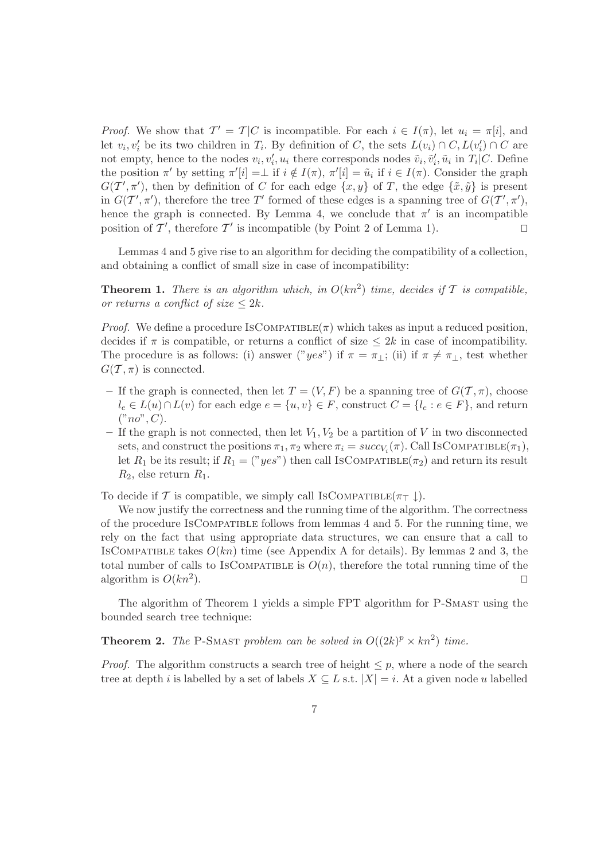*Proof.* We show that  $T' = T|C$  is incompatible. For each  $i \in I(\pi)$ , let  $u_i = \pi[i]$ , and let  $v_i, v'_i$  be its two children in  $T_i$ . By definition of C, the sets  $L(v_i) \cap C$ ,  $L(v'_i) \cap C$  are not empty, hence to the nodes  $v_i, v'_i, u_i$  there corresponds nodes  $\tilde{v}_i, \tilde{v}'_i, \tilde{u}_i$  in  $T_i | C$ . Define the position  $\pi'$  by setting  $\pi'[i] = \perp$  if  $i \notin I(\pi)$ ,  $\pi'[i] = \tilde{u}_i$  if  $i \in I(\pi)$ . Consider the graph  $G(T', \pi')$ , then by definition of C for each edge  $\{x, y\}$  of T, the edge  $\{\tilde{x}, \tilde{y}\}$  is present in  $G(T', \pi')$ , therefore the tree T' formed of these edges is a spanning tree of  $G(T', \pi')$ , hence the graph is connected. By Lemma 4, we conclude that  $\pi'$  is an incompatible position of  $\mathcal{T}'$ , therefore  $\mathcal{T}'$  is incompatible (by Point 2 of Lemma 1). □

Lemmas 4 and 5 give rise to an algorithm for deciding the compatibility of a collection, and obtaining a conflict of small size in case of incompatibility:

**Theorem 1.** There is an algorithm which, in  $O(kn^2)$  time, decides if T is compatible, or returns a conflict of size  $\leq 2k$ .

*Proof.* We define a procedure ISCOMPATIBLE( $\pi$ ) which takes as input a reduced position, decides if  $\pi$  is compatible, or returns a conflict of size  $\leq 2k$  in case of incompatibility. The procedure is as follows: (i) answer ("yes") if  $\pi = \pi_{\perp}$ ; (ii) if  $\pi \neq \pi_{\perp}$ , test whether  $G(\mathcal{T}, \pi)$  is connected.

- If the graph is connected, then let  $T = (V, F)$  be a spanning tree of  $G(\mathcal{T}, \pi)$ , choose  $l_e \in L(u) \cap L(v)$  for each edge  $e = \{u, v\} \in F$ , construct  $C = \{l_e : e \in F\}$ , and return  $("no", C).$
- If the graph is not connected, then let  $V_1, V_2$  be a partition of V in two disconnected sets, and construct the positions  $\pi_1, \pi_2$  where  $\pi_i = succ_{V_i}(\pi)$ . Call IsCOMPATIBLE $(\pi_1)$ , let  $R_1$  be its result; if  $R_1 = ("yes")$  then call IsCOMPATIBLE( $\pi_2$ ) and return its result  $R_2$ , else return  $R_1$ .

To decide if T is compatible, we simply call IsCOMPATIBLE( $\pi$ <sub>T</sub>  $\downarrow$ ).

We now justify the correctness and the running time of the algorithm. The correctness of the procedure IsCompatible follows from lemmas 4 and 5. For the running time, we rely on the fact that using appropriate data structures, we can ensure that a call to ISCOMPATIBLE takes  $O(kn)$  time (see Appendix A for details). By lemmas 2 and 3, the total number of calls to IsCOMPATIBLE is  $O(n)$ , therefore the total running time of the algorithm is  $O(kn^2)$ . ). ⊓⊔

The algorithm of Theorem 1 yields a simple FPT algorithm for P-SMAST using the bounded search tree technique:

**Theorem 2.** The P-SMAST problem can be solved in  $O((2k)^p \times kn^2)$  time.

*Proof.* The algorithm constructs a search tree of height  $\leq p$ , where a node of the search tree at depth i is labelled by a set of labels  $X \subseteq L$  s.t.  $|X| = i$ . At a given node u labelled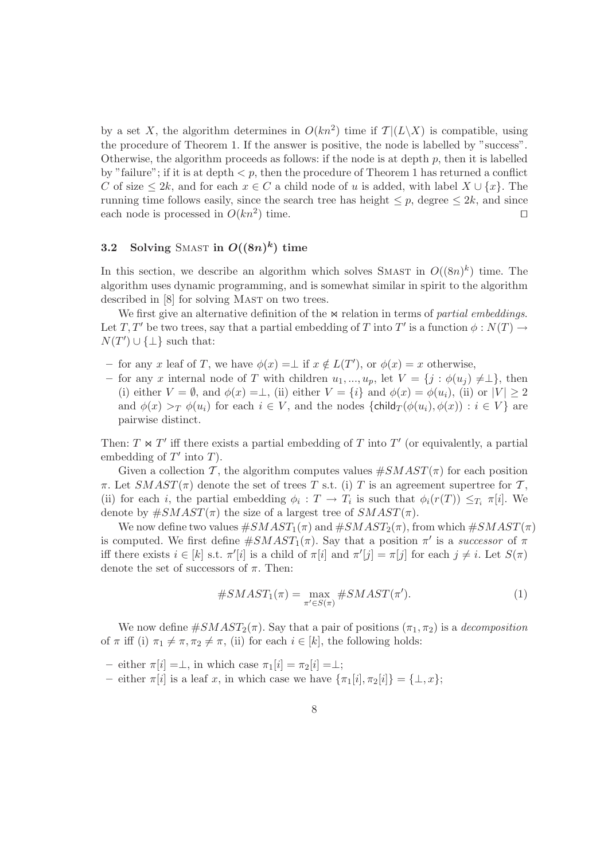by a set X, the algorithm determines in  $O(kn^2)$  time if  $\mathcal{T}|(L\setminus X)$  is compatible, using the procedure of Theorem 1. If the answer is positive, the node is labelled by "success". Otherwise, the algorithm proceeds as follows: if the node is at depth  $p$ , then it is labelled by "failure"; if it is at depth  $\lt p$ , then the procedure of Theorem 1 has returned a conflict C of size  $\leq 2k$ , and for each  $x \in C$  a child node of u is added, with label  $X \cup \{x\}$ . The running time follows easily, since the search tree has height  $\leq p$ , degree  $\leq 2k$ , and since each node is processed in  $O(kn^2)$  time. □

### 3.2 Solving SMAST in  $O((8n)^k)$  time

In this section, we describe an algorithm which solves SMAST in  $O((8n)^k)$  time. The algorithm uses dynamic programming, and is somewhat similar in spirit to the algorithm described in [8] for solving MAST on two trees.

We first give an alternative definition of the  $\bowtie$  relation in terms of partial embeddings. Let T, T' be two trees, say that a partial embedding of T into T' is a function  $\phi : N(T) \to$  $N(T') \cup \{\perp\}$  such that:

- for any x leaf of T, we have  $φ(x) = ⊥$  if  $x \notin L(T')$ , or  $φ(x) = x$  otherwise,
- for any x internal node of T with children  $u_1, ..., u_p$ , let  $V = \{j : \phi(u_j) \neq \perp\}$ , then (i) either  $V = \emptyset$ , and  $\phi(x) = \bot$ , (ii) either  $V = \{i\}$  and  $\phi(x) = \phi(u_i)$ , (ii) or  $|V| \ge 2$ and  $\phi(x) >_T \phi(u_i)$  for each  $i \in V$ , and the nodes  $\{\text{child}_T(\phi(u_i), \phi(x)) : i \in V\}$  are pairwise distinct.

Then:  $T \Join T'$  iff there exists a partial embedding of T into T' (or equivalently, a partial embedding of  $T'$  into  $T$ ).

Given a collection T, the algorithm computes values  $\#SMAST(\pi)$  for each position  $\pi$ . Let  $SMAST(\pi)$  denote the set of trees T s.t. (i) T is an agreement supertree for T, (ii) for each *i*, the partial embedding  $\phi_i : T \to T_i$  is such that  $\phi_i(r(T)) \leq T_i \pi[i]$ . We denote by  $\#SMAST(\pi)$  the size of a largest tree of  $SMAST(\pi)$ .

We now define two values  $\#SMAST_1(\pi)$  and  $\#SMAST_2(\pi)$ , from which  $\#SMAST(\pi)$ is computed. We first define  $\#SMAST_1(\pi)$ . Say that a position  $\pi'$  is a successor of  $\pi$ iff there exists  $i \in [k]$  s.t.  $\pi'[i]$  is a child of  $\pi[i]$  and  $\pi'[j] = \pi[j]$  for each  $j \neq i$ . Let  $S(\pi)$ denote the set of successors of  $\pi$ . Then:

$$
#SMAST_1(\pi) = \max_{\pi' \in S(\pi)} #SMAST(\pi'). \tag{1}
$$

We now define  $\#SMAST_2(\pi)$ . Say that a pair of positions  $(\pi_1, \pi_2)$  is a *decomposition* of  $\pi$  iff (i)  $\pi_1 \neq \pi, \pi_2 \neq \pi$ , (ii) for each  $i \in [k]$ , the following holds:

– either  $\pi[i] = \perp$ , in which case  $\pi_1[i] = \pi_2[i] = \perp$ ;

– either  $\pi[i]$  is a leaf x, in which case we have  $\{\pi_1[i], \pi_2[i]\} = {\perp, x}$ ;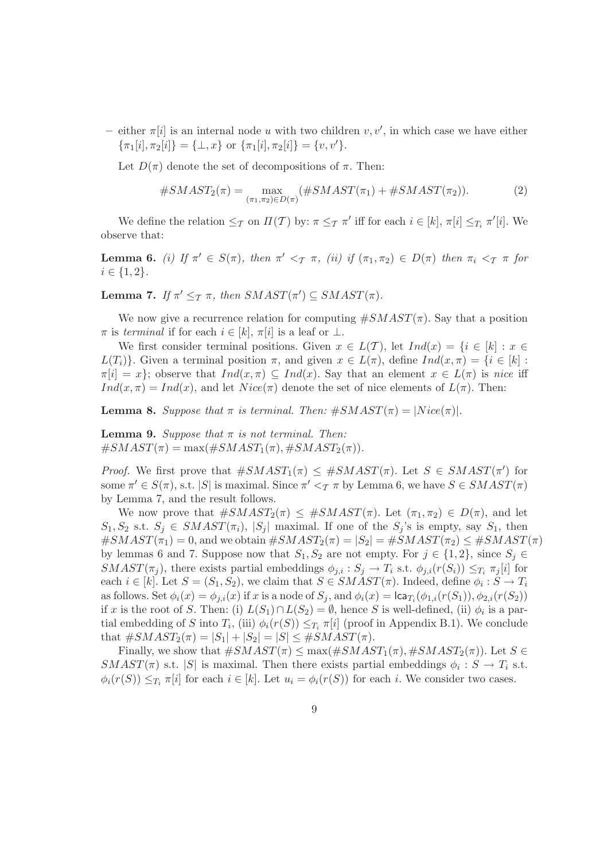– either  $\pi[i]$  is an internal node u with two children  $v, v'$ , in which case we have either  $\{\pi_1[i], \pi_2[i]\} = {\perp, x}$  or  $\{\pi_1[i], \pi_2[i]\} = \{v, v'\}.$ 

Let  $D(\pi)$  denote the set of decompositions of  $\pi$ . Then:

$$
#SMAST_{2}(\pi) = \max_{(\pi_{1}, \pi_{2}) \in D(\pi)} (\#SMAST(\pi_{1}) + #SMAST(\pi_{2})).
$$
\n(2)

We define the relation  $\leq_{\mathcal{T}}$  on  $\Pi(\mathcal{T})$  by:  $\pi \leq_{\mathcal{T}} \pi'$  iff for each  $i \in [k], \pi[i] \leq_{T_i} \pi'[i]$ . We observe that:

**Lemma 6.** (i) If  $\pi' \in S(\pi)$ , then  $\pi' <_{\pi} \pi$ , (ii) if  $(\pi_1, \pi_2) \in D(\pi)$  then  $\pi_i <_{\pi} \pi$  for  $i \in \{1, 2\}.$ 

**Lemma 7.** If  $\pi' \leq_T \pi$ , then  $SMAST(\pi') \subseteq SMAST(\pi)$ .

We now give a recurrence relation for computing  $\#SMAST(\pi)$ . Say that a position  $\pi$  is terminal if for each  $i \in [k], \pi[i]$  is a leaf or  $\perp$ .

We first consider terminal positions. Given  $x \in L(\mathcal{T})$ , let  $Ind(x) = \{i \in [k] : x \in$  $L(T_i)$ . Given a terminal position  $\pi$ , and given  $x \in L(\pi)$ , define  $Ind(x, \pi) = \{i \in [k] :$  $\pi[i] = x$ ; observe that  $Ind(x, \pi) \subseteq Ind(x)$ . Say that an element  $x \in L(\pi)$  is nice iff  $Ind(x, \pi) = Ind(x)$ , and let  $Nice(\pi)$  denote the set of nice elements of  $L(\pi)$ . Then:

**Lemma 8.** Suppose that  $\pi$  is terminal. Then:  $\#SMAST(\pi) = |Nice(\pi)|$ .

**Lemma 9.** Suppose that  $\pi$  is not terminal. Then:  $\#SMAST(\pi) = \max(\#SMAST_1(\pi), \#SMAST_2(\pi)).$ 

*Proof.* We first prove that  $\#SMAST_1(\pi) \leq \#SMAST(\pi)$ . Let  $S \in SMAST(\pi')$  for some  $\pi' \in S(\pi)$ , s.t. |S| is maximal. Since  $\pi' <_{\mathcal{T}} \pi$  by Lemma 6, we have  $S \in \mathcal{S}MASKST(\pi)$ by Lemma 7, and the result follows.

We now prove that  $\#SMAST_2(\pi) \leq \#SMAST(\pi)$ . Let  $(\pi_1, \pi_2) \in D(\pi)$ , and let  $S_1, S_2$  s.t.  $S_j \in \mathcal{S}MAXT(\pi_i), |S_j|$  maximal. If one of the  $S_j$ 's is empty, say  $S_1$ , then  $\#SMAST(\pi_1)=0$ , and we obtain  $\#SMAST_2(\pi)=|S_2|=\#SMAST(\pi_2)\leq \#SMAST(\pi)$ by lemmas 6 and 7. Suppose now that  $S_1, S_2$  are not empty. For  $j \in \{1, 2\}$ , since  $S_j \in$  $SMAST(\pi_j)$ , there exists partial embeddings  $\phi_{j,i} : S_j \to T_i$  s.t.  $\phi_{j,i}(r(S_i)) \leq_{T_i} \pi_j[i]$  for each  $i \in [k]$ . Let  $S = (S_1, S_2)$ , we claim that  $S \in SMALLST(\pi)$ . Indeed, define  $\phi_i : S \to T_i$ as follows. Set  $\phi_i(x) = \phi_{j,i}(x)$  if x is a node of  $S_j$ , and  $\phi_i(x) = \textsf{lca}_{T_i}(\phi_{1,i}(r(S_1)), \phi_{2,i}(r(S_2))$ if x is the root of S. Then: (i)  $L(S_1) \cap L(S_2) = \emptyset$ , hence S is well-defined, (ii)  $\phi_i$  is a partial embedding of S into  $T_i$ , (iii)  $\phi_i(r(S)) \leq_{T_i} \pi[i]$  (proof in Appendix B.1). We conclude that  $\#SMAST_2(\pi) = |S_1| + |S_2| = |S| \leq \#SMAST(\pi)$ .

Finally, we show that  $\#SMAST(\pi) \leq \max(\#SMAST_1(\pi), \#SMAST_2(\pi))$ . Let  $S \in$  $SMAST(\pi)$  s.t. |S| is maximal. Then there exists partial embeddings  $\phi_i : S \to T_i$  s.t.  $\phi_i(r(S)) \leq_{T_i} \pi[i]$  for each  $i \in [k]$ . Let  $u_i = \phi_i(r(S))$  for each i. We consider two cases.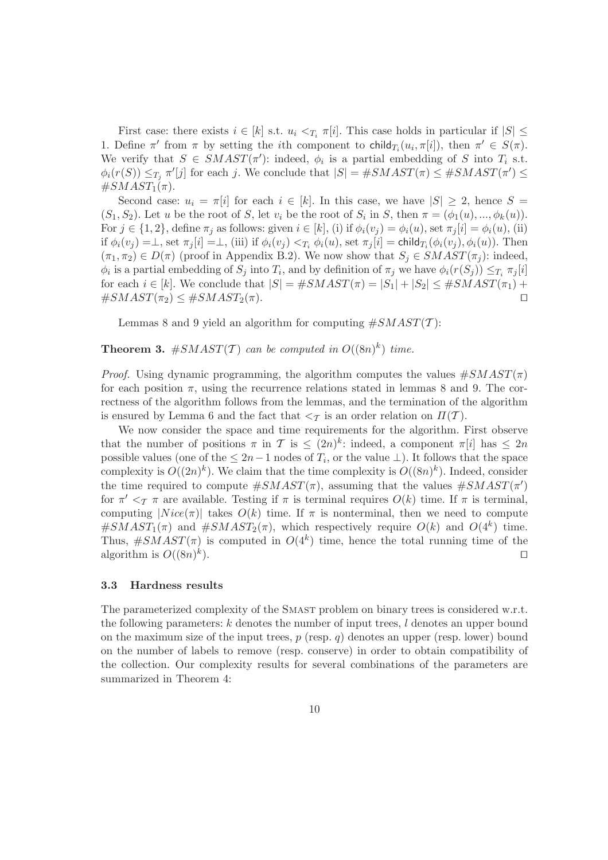First case: there exists  $i \in [k]$  s.t.  $u_i \leq T_i \pi[i]$ . This case holds in particular if  $|S| \leq$ 1. Define  $\pi'$  from  $\pi$  by setting the *i*th component to child<sub>T<sub>i</sub></sub> $(u_i, \pi[i])$ , then  $\pi' \in S(\pi)$ . We verify that  $S \in \text{SMAST}(\pi')$ : indeed,  $\phi_i$  is a partial embedding of S into  $T_i$  s.t.  $\phi_i(r(S)) \leq_{T_j} \pi'[j]$  for each j. We conclude that  $|S| = \#SMAST(\pi) \leq \#SMAST(\pi') \leq \pi'[j]$  $\#SMAST_1(\pi)$ .

Second case:  $u_i = \pi[i]$  for each  $i \in [k]$ . In this case, we have  $|S| \geq 2$ , hence  $S =$  $(S_1, S_2)$ . Let u be the root of S, let  $v_i$  be the root of  $S_i$  in S, then  $\pi = (\phi_1(u), ..., \phi_k(u))$ . For  $j \in \{1,2\}$ , define  $\pi_j$  as follows: given  $i \in [k]$ , (i) if  $\phi_i(v_j) = \phi_i(u)$ , set  $\pi_j[i] = \phi_i(u)$ , (ii) if  $\phi_i(v_j) = \perp$ , set  $\pi_j[i] = \perp$ , (iii) if  $\phi_i(v_j) <_{T_i} \phi_i(u)$ , set  $\pi_j[i] = \text{child}_{T_i}(\phi_i(v_j), \phi_i(u))$ . Then  $(\pi_1, \pi_2) \in D(\pi)$  (proof in Appendix B.2). We now show that  $S_i \in \mathcal{S}MAXT(\pi_i)$ : indeed,  $\phi_i$  is a partial embedding of  $S_j$  into  $T_i$ , and by definition of  $\pi_j$  we have  $\phi_i(r(S_j)) \leq_{T_i} \pi_j[i]$ for each  $i \in [k]$ . We conclude that  $|S| = \#SMAST(\pi) = |S_1| + |S_2| \leq \#SMAST(\pi_1) +$  $\#SMAST(\pi_2) \leq \#SMAST_2(\pi).$ 

Lemmas 8 and 9 yield an algorithm for computing  $\#SMAST(\mathcal{T})$ :

**Theorem 3.** #SMAST(T) can be computed in  $O((8n)^k)$  time.

*Proof.* Using dynamic programming, the algorithm computes the values  $\#SMAST(\pi)$ for each position  $\pi$ , using the recurrence relations stated in lemmas 8 and 9. The correctness of the algorithm follows from the lemmas, and the termination of the algorithm is ensured by Lemma 6 and the fact that  $\langle \tau \rangle$  is an order relation on  $\Pi(\mathcal{T})$ .

We now consider the space and time requirements for the algorithm. First observe that the number of positions  $\pi$  in  $\mathcal{T}$  is  $\leq (2n)^k$ : indeed, a component  $\pi[i]$  has  $\leq 2n$ possible values (one of the  $\leq 2n-1$  nodes of  $T_i$ , or the value  $\perp$ ). It follows that the space complexity is  $O((2n)^k)$ . We claim that the time complexity is  $O((8n)^k)$ . Indeed, consider the time required to compute  $\#SMAST(\pi)$ , assuming that the values  $\#SMAST(\pi')$ for  $\pi' <_{\mathcal{T}} \pi$  are available. Testing if  $\pi$  is terminal requires  $O(k)$  time. If  $\pi$  is terminal, computing  $|Nice(\pi)|$  takes  $O(k)$  time. If  $\pi$  is nonterminal, then we need to compute  $\#SMAST_1(\pi)$  and  $\#SMAST_2(\pi)$ , which respectively require  $O(k)$  and  $O(4^k)$  time. Thus,  $\#SMAST(\pi)$  is computed in  $O(4^k)$  time, hence the total running time of the algorithm is  $O((8n)^k)$ ). ⊓⊔

#### 3.3 Hardness results

The parameterized complexity of the Smast problem on binary trees is considered w.r.t. the following parameters:  $k$  denotes the number of input trees,  $l$  denotes an upper bound on the maximum size of the input trees,  $p$  (resp. q) denotes an upper (resp. lower) bound on the number of labels to remove (resp. conserve) in order to obtain compatibility of the collection. Our complexity results for several combinations of the parameters are summarized in Theorem 4: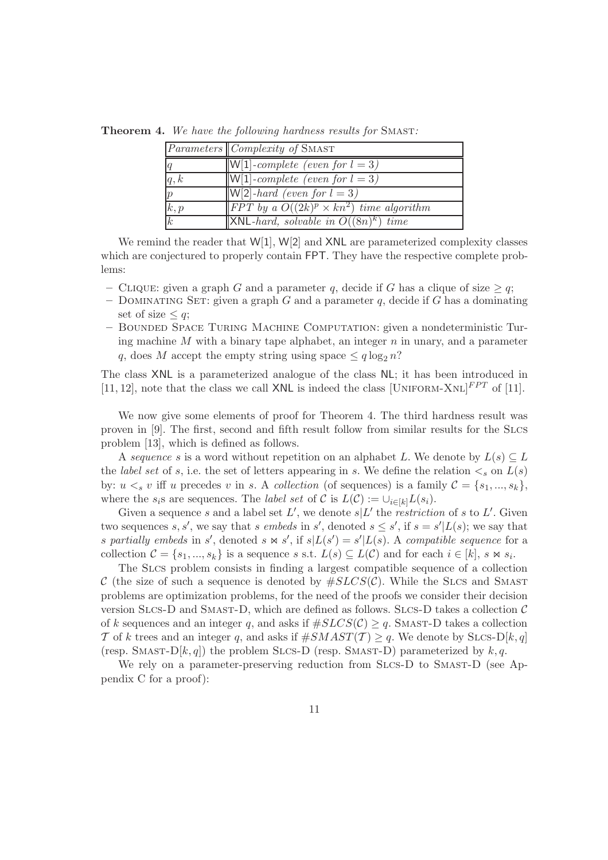|                  | <i>Parameters Complexity of</i> SMAST                   |
|------------------|---------------------------------------------------------|
| $\vert q \vert$  | $\vert W[1]$ -complete (even for $l = 3$ )              |
| q, k             | $\vert\vert W\vert1\vert$ -complete (even for $l=3$ )   |
| $\mathcal{p}$    | $ \mathsf{W}[2]$ -hard (even for $l=3$ )                |
| k, p             | <b>IFPT</b> by a $O((2k)^p \times kn^2)$ time algorithm |
| $\boldsymbol{k}$ | $\vert$ XNL-hard, solvable in $O((8n)^k)$ time          |

Theorem 4. We have the following hardness results for SMAST:

We remind the reader that  $W[1]$ ,  $W[2]$  and  $XNL$  are parameterized complexity classes which are conjectured to properly contain FPT. They have the respective complete problems:

- CLIQUE: given a graph G and a parameter q, decide if G has a clique of size  $\geq q$ ;
- DOMINATING SET: given a graph G and a parameter q, decide if G has a dominating set of size  $\leq q$ ;
- Bounded Space Turing Machine Computation: given a nondeterministic Turing machine  $M$  with a binary tape alphabet, an integer  $n$  in unary, and a parameter q, does M accept the empty string using space  $\leq q \log_2 n$ ?

The class XNL is a parameterized analogue of the class NL; it has been introduced in [11, 12], note that the class we call XNL is indeed the class [UNIFORM-XNL] $^{FPT}$  of [11].

We now give some elements of proof for Theorem 4. The third hardness result was proven in [9]. The first, second and fifth result follow from similar results for the Slcs problem [13], which is defined as follows.

A sequence s is a word without repetition on an alphabet L. We denote by  $L(s) \subseteq L$ the label set of s, i.e. the set of letters appearing in s. We define the relation  $\lt_s$  on  $L(s)$ by:  $u <_{s} v$  iff u precedes v in s. A collection (of sequences) is a family  $\mathcal{C} = \{s_1, ..., s_k\}$ , where the  $s_i$ s are sequences. The *label set* of  $\mathcal C$  is  $L(\mathcal C) := \cup_{i \in [k]} L(s_i)$ .

Given a sequence s and a label set  $L'$ , we denote  $s|L'$  the *restriction* of s to  $L'$ . Given two sequences s, s', we say that s embeds in s', denoted  $s \leq s'$ , if  $s = s'|L(s)$ ; we say that s partially embeds in s', denoted s  $\bowtie s'$ , if  $s|L(s') = s'|L(s)$ . A compatible sequence for a collection  $C = \{s_1, ..., s_k\}$  is a sequence s s.t.  $L(s) \subseteq L(C)$  and for each  $i \in [k], s \bowtie s_i$ .

The Slcs problem consists in finding a largest compatible sequence of a collection C (the size of such a sequence is denoted by  $\#S LCS(\mathcal{C})$ . While the SLCS and SMAST problems are optimization problems, for the need of the proofs we consider their decision version SLCS-D and SMAST-D, which are defined as follows. SLCS-D takes a collection  $\mathcal C$ of k sequences and an integer q, and asks if  $#SLCS(\mathcal{C}) \geq q$ . SMAST-D takes a collection T of k trees and an integer q, and asks if  $\#SMAST(\mathcal{T}) \geq q$ . We denote by SLCS-D[k, q] (resp. SMAST-D[k, q]) the problem SLCS-D (resp. SMAST-D) parameterized by  $k, q$ .

We rely on a parameter-preserving reduction from SLCS-D to SMAST-D (see Appendix C for a proof):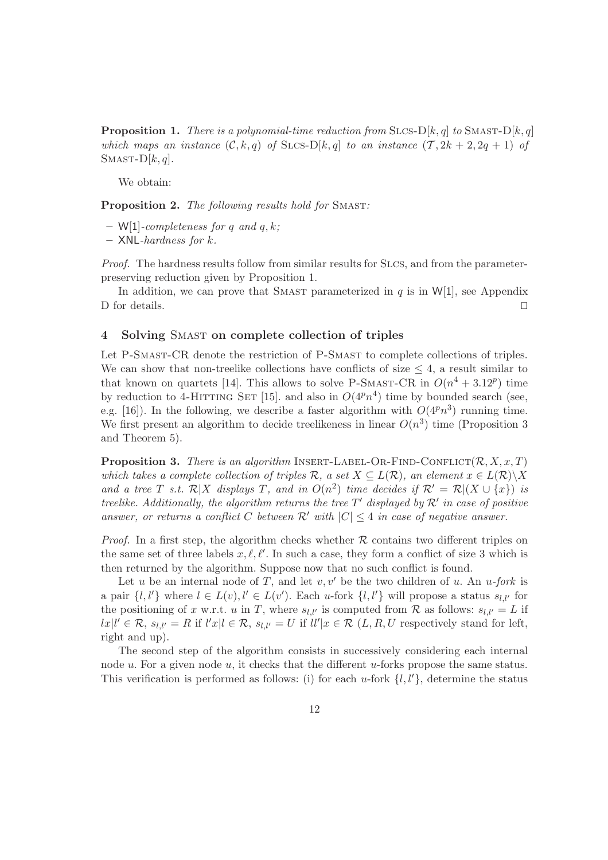**Proposition 1.** There is a polynomial-time reduction from SLCS-D[k, q] to SMAST-D[k, q] which maps an instance  $(C, k, q)$  of SLCS-D[k, q] to an instance  $(T, 2k + 2, 2q + 1)$  of  $SMAST-D[k,q].$ 

We obtain:

Proposition 2. The following results hold for SMAST:

 $-$  W[1]-completeness for q and q, k;

 $-$  XNL-hardness for  $k$ .

Proof. The hardness results follow from similar results for SLCS, and from the parameterpreserving reduction given by Proposition 1.

In addition, we can prove that SMAST parameterized in  $q$  is in  $W[1]$ , see Appendix D for details. □

#### 4 Solving Smast on complete collection of triples

Let P-SMAST-CR denote the restriction of P-SMAST to complete collections of triples. We can show that non-treelike collections have conflicts of size  $\leq 4$ , a result similar to that known on quartets [14]. This allows to solve P-SMAST-CR in  $O(n^4 + 3.12^p)$  time by reduction to 4-HITTING SET [15]. and also in  $O(4^pn^4)$  time by bounded search (see, e.g. [16]). In the following, we describe a faster algorithm with  $O(4^p n^3)$  running time. We first present an algorithm to decide treelikeness in linear  $O(n^3)$  time (Proposition 3 and Theorem 5).

**Proposition 3.** There is an algorithm INSERT-LABEL-OR-FIND-CONFLICT( $\mathcal{R}, X, x, T$ ) which takes a complete collection of triples R, a set  $X \subseteq L(\mathcal{R})$ , an element  $x \in L(\mathcal{R}) \backslash X$ and a tree T s.t.  $\mathcal{R}|X$  displays T, and in  $O(n^2)$  time decides if  $\mathcal{R}' = \mathcal{R}|(X \cup \{x\})$  is treelike. Additionally, the algorithm returns the tree  $T'$  displayed by  $\mathcal{R}'$  in case of positive answer, or returns a conflict C between  $\mathcal{R}'$  with  $|C| \leq 4$  in case of negative answer.

*Proof.* In a first step, the algorithm checks whether  $\mathcal R$  contains two different triples on the same set of three labels  $x, \ell, \ell'$ . In such a case, they form a conflict of size 3 which is then returned by the algorithm. Suppose now that no such conflict is found.

Let u be an internal node of T, and let  $v, v'$  be the two children of u. An u-fork is a pair  $\{l, l'\}$  where  $l \in L(v), l' \in L(v')$ . Each u-fork  $\{l, l'\}$  will propose a status  $s_{l,l'}$  for the positioning of x w.r.t. u in T, where  $s_{l,l'}$  is computed from R as follows:  $s_{l,l'} = L$  if  $dx|l' \in \mathcal{R}, s_{l,l'} = R$  if  $l'x|l \in \mathcal{R}, s_{l,l'} = U$  if  $ll'|x \in \mathcal{R}$   $(L, R, U$  respectively stand for left, right and up).

The second step of the algorithm consists in successively considering each internal node  $u$ . For a given node  $u$ , it checks that the different  $u$ -forks propose the same status. This verification is performed as follows: (i) for each u-fork  $\{l, l'\}$ , determine the status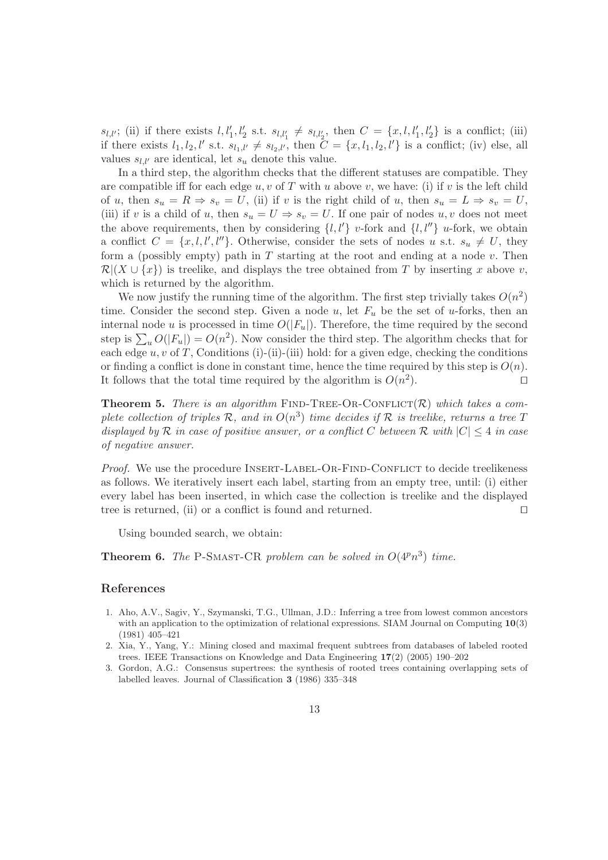$s_{l,l'}$ ; (ii) if there exists  $l, l'_1, l'_2$  s.t.  $s_{l,l'_1} \neq s_{l,l'_2}$ , then  $C = \{x, l, l'_1, l'_2\}$  is a conflict; (iii) if there exists  $l_1, l_2, l'$  s.t.  $s_{l_1,l'} \neq s_{l_2,l'}$ , then  $\tilde{C} = \{x, l_1, l_2, l'\}$  is a conflict; (iv) else, all values  $s_{l,l'}$  are identical, let  $s_u$  denote this value.

In a third step, the algorithm checks that the different statuses are compatible. They are compatible iff for each edge  $u, v$  of T with u above v, we have: (i) if v is the left child of u, then  $s_u = R \Rightarrow s_v = U$ , (ii) if v is the right child of u, then  $s_u = L \Rightarrow s_v = U$ , (iii) if v is a child of u, then  $s_u = U \Rightarrow s_v = U$ . If one pair of nodes u, v does not meet the above requirements, then by considering  $\{l, l'\}$  v-fork and  $\{l, l''\}$  u-fork, we obtain a conflict  $C = \{x, l, l', l''\}$ . Otherwise, consider the sets of nodes u s.t.  $s_u \neq U$ , they form a (possibly empty) path in  $T$  starting at the root and ending at a node  $v$ . Then  $\mathcal{R}|(X \cup \{x\})$  is treelike, and displays the tree obtained from T by inserting x above v, which is returned by the algorithm.

We now justify the running time of the algorithm. The first step trivially takes  $O(n^2)$ time. Consider the second step. Given a node u, let  $F_u$  be the set of u-forks, then an internal node u is processed in time  $O(|F_u|)$ . Therefore, the time required by the second step is  $\sum_{u} O(|F_u|) = O(n^2)$ . Now consider the third step. The algorithm checks that for each edge  $u, v$  of T, Conditions (i)-(ii)-(iii) hold: for a given edge, checking the conditions or finding a conflict is done in constant time, hence the time required by this step is  $O(n)$ . It follows that the total time required by the algorithm is  $O(n^2)$ ). ⊓⊔

**Theorem 5.** There is an algorithm FIND-TREE-OR-CONFLICT(R) which takes a complete collection of triples  $\mathcal{R}$ , and in  $O(n^3)$  time decides if  $\mathcal R$  is treelike, returns a tree T displayed by R in case of positive answer, or a conflict C between R with  $|C| \leq 4$  in case of negative answer.

Proof. We use the procedure INSERT-LABEL-OR-FIND-CONFLICT to decide treelikeness as follows. We iteratively insert each label, starting from an empty tree, until: (i) either every label has been inserted, in which case the collection is treelike and the displayed tree is returned, (ii) or a conflict is found and returned. □

Using bounded search, we obtain:

**Theorem 6.** The P-SMAST-CR problem can be solved in  $O(4^n n^3)$  time.

#### References

- 1. Aho, A.V., Sagiv, Y., Szymanski, T.G., Ullman, J.D.: Inferring a tree from lowest common ancestors with an application to the optimization of relational expressions. SIAM Journal on Computing  $10(3)$ (1981) 405–421
- 2. Xia, Y., Yang, Y.: Mining closed and maximal frequent subtrees from databases of labeled rooted trees. IEEE Transactions on Knowledge and Data Engineering 17(2) (2005) 190–202
- 3. Gordon, A.G.: Consensus supertrees: the synthesis of rooted trees containing overlapping sets of labelled leaves. Journal of Classification 3 (1986) 335–348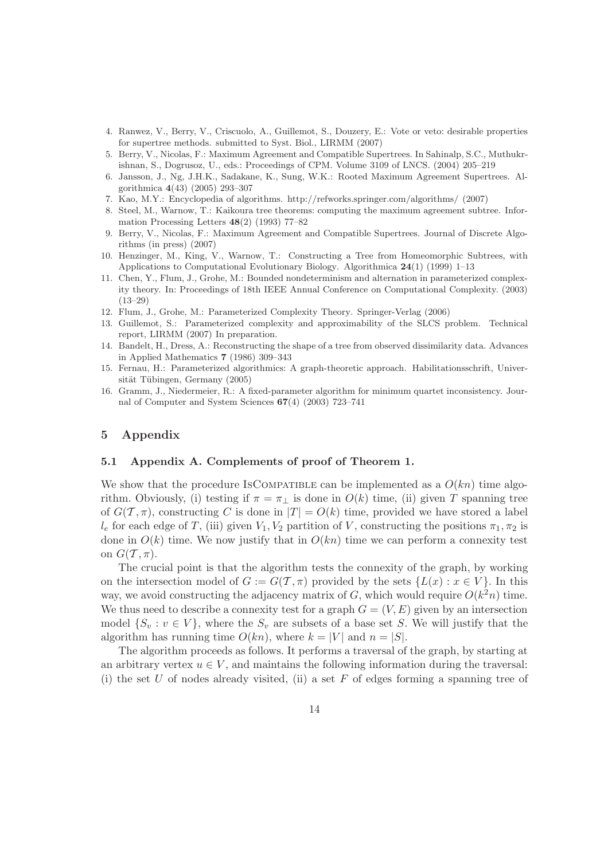- 4. Ranwez, V., Berry, V., Criscuolo, A., Guillemot, S., Douzery, E.: Vote or veto: desirable properties for supertree methods. submitted to Syst. Biol., LIRMM (2007)
- 5. Berry, V., Nicolas, F.: Maximum Agreement and Compatible Supertrees. In Sahinalp, S.C., Muthukrishnan, S., Dogrusoz, U., eds.: Proceedings of CPM. Volume 3109 of LNCS. (2004) 205–219
- 6. Jansson, J., Ng, J.H.K., Sadakane, K., Sung, W.K.: Rooted Maximum Agreement Supertrees. Algorithmica 4(43) (2005) 293–307
- 7. Kao, M.Y.: Encyclopedia of algorithms. http://refworks.springer.com/algorithms/ (2007)
- 8. Steel, M., Warnow, T.: Kaikoura tree theorems: computing the maximum agreement subtree. Information Processing Letters  $48(2)$  (1993) 77–82
- 9. Berry, V., Nicolas, F.: Maximum Agreement and Compatible Supertrees. Journal of Discrete Algorithms (in press) (2007)
- 10. Henzinger, M., King, V., Warnow, T.: Constructing a Tree from Homeomorphic Subtrees, with Applications to Computational Evolutionary Biology. Algorithmica  $24(1)$  (1999) 1–13
- 11. Chen, Y., Flum, J., Grohe, M.: Bounded nondeterminism and alternation in parameterized complexity theory. In: Proceedings of 18th IEEE Annual Conference on Computational Complexity. (2003) (13–29)
- 12. Flum, J., Grohe, M.: Parameterized Complexity Theory. Springer-Verlag (2006)
- 13. Guillemot, S.: Parameterized complexity and approximability of the SLCS problem. Technical report, LIRMM (2007) In preparation.
- 14. Bandelt, H., Dress, A.: Reconstructing the shape of a tree from observed dissimilarity data. Advances in Applied Mathematics 7 (1986) 309–343
- 15. Fernau, H.: Parameterized algorithmics: A graph-theoretic approach. Habilitationsschrift, Universität Tübingen, Germany (2005)
- 16. Gramm, J., Niedermeier, R.: A fixed-parameter algorithm for minimum quartet inconsistency. Journal of Computer and System Sciences 67(4) (2003) 723–741

#### 5 Appendix

#### 5.1 Appendix A. Complements of proof of Theorem 1.

We show that the procedure IsCOMPATIBLE can be implemented as a  $O(kn)$  time algorithm. Obviously, (i) testing if  $\pi = \pi_1$  is done in  $O(k)$  time, (ii) given T spanning tree of  $G(\mathcal{T}, \pi)$ , constructing C is done in  $|T| = O(k)$  time, provided we have stored a label  $l_e$  for each edge of T, (iii) given  $V_1, V_2$  partition of V, constructing the positions  $\pi_1, \pi_2$  is done in  $O(k)$  time. We now justify that in  $O(kn)$  time we can perform a connexity test on  $G(\mathcal{T}, \pi)$ .

The crucial point is that the algorithm tests the connexity of the graph, by working on the intersection model of  $G := G(\mathcal{T}, \pi)$  provided by the sets  $\{L(x) : x \in V\}$ . In this way, we avoid constructing the adjacency matrix of G, which would require  $O(k^2n)$  time. We thus need to describe a connexity test for a graph  $G = (V, E)$  given by an intersection model  $\{S_v : v \in V\}$ , where the  $S_v$  are subsets of a base set S. We will justify that the algorithm has running time  $O(kn)$ , where  $k = |V|$  and  $n = |S|$ .

The algorithm proceeds as follows. It performs a traversal of the graph, by starting at an arbitrary vertex  $u \in V$ , and maintains the following information during the traversal: (i) the set U of nodes already visited, (ii) a set F of edges forming a spanning tree of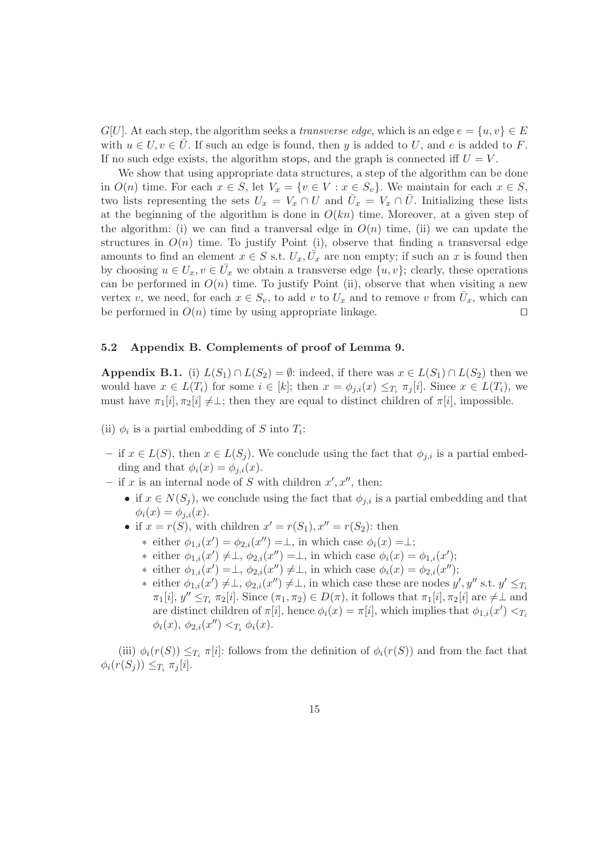$G[U]$ . At each step, the algorithm seeks a transverse edge, which is an edge  $e = \{u, v\} \in E$ with  $u \in U, v \in U$ . If such an edge is found, then y is added to U, and e is added to F. If no such edge exists, the algorithm stops, and the graph is connected iff  $U = V$ .

We show that using appropriate data structures, a step of the algorithm can be done in  $O(n)$  time. For each  $x \in S$ , let  $V_x = \{v \in V : x \in S_v\}$ . We maintain for each  $x \in S$ , two lists representing the sets  $U_x = V_x \cap U$  and  $\overline{U}_x = V_x \cap \overline{U}$ . Initializing these lists at the beginning of the algorithm is done in  $O(kn)$  time. Moreover, at a given step of the algorithm: (i) we can find a tranversal edge in  $O(n)$  time, (ii) we can update the structures in  $O(n)$  time. To justify Point (i), observe that finding a transversal edge amounts to find an element  $x \in S$  s.t.  $U_x, \overline{U}_x$  are non empty; if such an x is found then by choosing  $u \in U_x, v \in \overline{U}_x$  we obtain a transverse edge  $\{u, v\}$ ; clearly, these operations can be performed in  $O(n)$  time. To justify Point (ii), observe that when visiting a new vertex v, we need, for each  $x \in S_v$ , to add v to  $U_x$  and to remove v from  $\overline{U}_x$ , which can be performed in  $O(n)$  time by using appropriate linkage. □

#### 5.2 Appendix B. Complements of proof of Lemma 9.

Appendix B.1. (i)  $L(S_1) \cap L(S_2) = \emptyset$ : indeed, if there was  $x \in L(S_1) \cap L(S_2)$  then we would have  $x \in L(T_i)$  for some  $i \in [k]$ ; then  $x = \phi_{i,i}(x) \leq T_i \pi_i[i]$ . Since  $x \in L(T_i)$ , we must have  $\pi_1[i], \pi_2[i] \neq \perp$ ; then they are equal to distinct children of  $\pi[i]$ , impossible.

(ii)  $\phi_i$  is a partial embedding of S into  $T_i$ :

- if  $x \in L(S)$ , then  $x \in L(S_i)$ . We conclude using the fact that  $\phi_{i,i}$  is a partial embedding and that  $\phi_i(x) = \phi_{i,i}(x)$ .
- if x is an internal node of S with children  $x', x''$ , then:
	- if  $x \in N(S_i)$ , we conclude using the fact that  $\phi_{i,i}$  is a partial embedding and that  $\phi_i(x) = \phi_{i,i}(x).$
	- if  $x = r(S)$ , with children  $x' = r(S_1)$ ,  $x'' = r(S_2)$ : then
		- \* either  $\phi_{1,i}(x') = \phi_{2,i}(x'') = \perp$ , in which case  $\phi_i(x) = \perp$ ;
		- ∗ either  $\phi_{1,i}(x') \neq \perp, \phi_{2,i}(x'') = \perp$ , in which case  $\phi_i(x) = \phi_{1,i}(x')$ ;
		- ∗ either  $\phi_{1,i}(x') = \perp, \ \phi_{2,i}(x'') \neq \perp$ , in which case  $\phi_i(x) = \phi_{2,i}(x'')$ ;
		- ∗ either  $\phi_{1,i}(x') \neq \perp, \phi_{2,i}(x'') \neq \perp$ , in which case these are nodes  $y', y''$  s.t.  $y' \leq_{T_i}$  $\pi_1[i], y'' \leq_{T_i} \pi_2[i]$ . Since  $(\pi_1, \pi_2) \in D(\pi)$ , it follows that  $\pi_1[i], \pi_2[i]$  are  $\neq \perp$  and are distinct children of  $\pi[i]$ , hence  $\phi_i(x) = \pi[i]$ , which implies that  $\phi_{1,i}(x') < T_i$  $\phi_i(x), \, \phi_{2,i}(x'') <_{T_i} \phi_i(x).$

(iii)  $\phi_i(r(S)) \leq_{T_i} \pi[i]$ : follows from the definition of  $\phi_i(r(S))$  and from the fact that  $\phi_i(r(S_j)) \leq_{T_i} \pi_j[i].$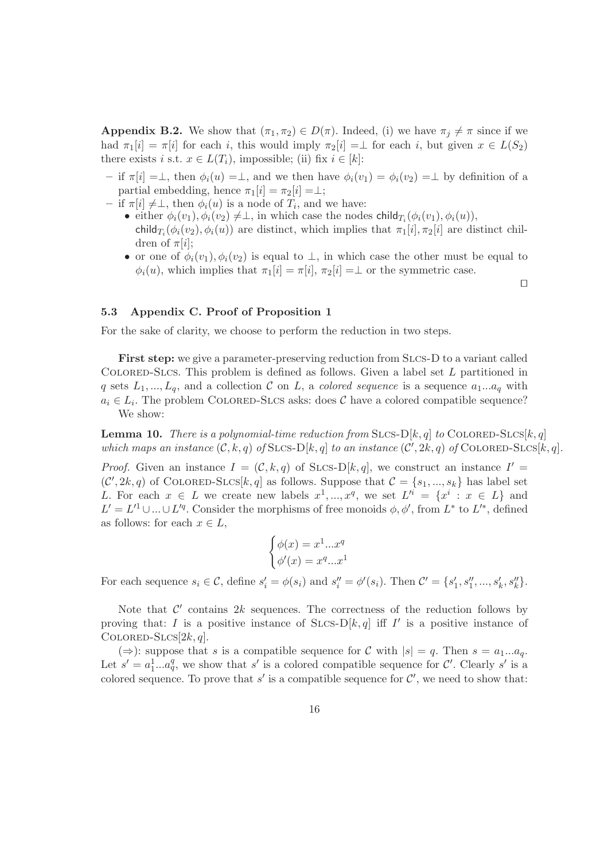**Appendix B.2.** We show that  $(\pi_1, \pi_2) \in D(\pi)$ . Indeed, (i) we have  $\pi_i \neq \pi$  since if we had  $\pi_1[i] = \pi[i]$  for each i, this would imply  $\pi_2[i] = \bot$  for each i, but given  $x \in L(S_2)$ there exists i s.t.  $x \in L(T_i)$ , impossible; (ii) fix  $i \in [k]$ :

- if  $\pi[i] = \perp$ , then  $\phi_i(u) = \perp$ , and we then have  $\phi_i(v_1) = \phi_i(v_2) = \perp$  by definition of a partial embedding, hence  $\pi_1[i] = \pi_2[i] = \perp;$
- $-$  if  $\pi[i] \neq \perp$ , then  $\phi_i(u)$  is a node of  $T_i$ , and we have:
	- either  $\phi_i(v_1), \phi_i(v_2) \neq \perp$ , in which case the nodes child $T_i(\phi_i(v_1), \phi_i(u)),$ child<sub>T<sub>i</sub></sub> $(\phi_i(v_2), \phi_i(u))$  are distinct, which implies that  $\pi_1[i], \pi_2[i]$  are distinct children of  $\pi[i]$ ;
	- or one of  $\phi_i(v_1), \phi_i(v_2)$  is equal to  $\perp$ , in which case the other must be equal to  $\phi_i(u)$ , which implies that  $\pi_1[i] = \pi[i], \pi_2[i] = \perp$  or the symmetric case.

⊓⊔

#### 5.3 Appendix C. Proof of Proposition 1

For the sake of clarity, we choose to perform the reduction in two steps.

First step: we give a parameter-preserving reduction from SLCs-D to a variant called COLORED-SLCS. This problem is defined as follows. Given a label set  $L$  partitioned in q sets  $L_1, ..., L_q$ , and a collection C on L, a *colored sequence* is a sequence  $a_1...a_q$  with  $a_i \in L_i$ . The problem COLORED-SLCS asks: does C have a colored compatible sequence? We show:

**Lemma 10.** There is a polynomial-time reduction from SLCS-D[k, q] to COLORED-SLCS[k, q] which maps an instance  $(C, k, q)$  of SLCS-D[k, q] to an instance  $(C', 2k, q)$  of COLORED-SLCS[k, q].

*Proof.* Given an instance  $I = (\mathcal{C}, k, q)$  of SLCS-D[k, q], we construct an instance  $I' =$  $(C', 2k, q)$  of COLORED-SLCS[k, q] as follows. Suppose that  $C = \{s_1, ..., s_k\}$  has label set L. For each  $x \in L$  we create new labels  $x^1, ..., x^q$ , we set  $L'^i = \{x^i : x \in L\}$  and  $L' = L'^1 \cup ... \cup L'^q$ . Consider the morphisms of free monoids  $\phi, \phi'$ , from  $L^*$  to  $L'^*$ , defined as follows: for each  $x \in L$ ,

$$
\begin{cases}\n\phi(x) = x^1...x^q \\
\phi'(x) = x^q...x^1\n\end{cases}
$$

For each sequence  $s_i \in \mathcal{C}$ , define  $s'_i = \phi(s_i)$  and  $s''_i = \phi'(s_i)$ . Then  $\mathcal{C}' = \{s'_1, s''_1, ..., s'_k, s''_k\}$ .

Note that  $\mathcal{C}'$  contains 2k sequences. The correctness of the reduction follows by proving that: I is a positive instance of  $SLcs-D[k,q]$  iff I' is a positive instance of COLORED-SLCS $[2k, q]$ .

(⇒): suppose that s is a compatible sequence for C with  $|s| = q$ . Then  $s = a_1...a_q$ . Let  $s' = a_1^1...a_q^q$ , we show that s' is a colored compatible sequence for C'. Clearly s' is a colored sequence. To prove that  $s'$  is a compatible sequence for  $\mathcal{C}'$ , we need to show that: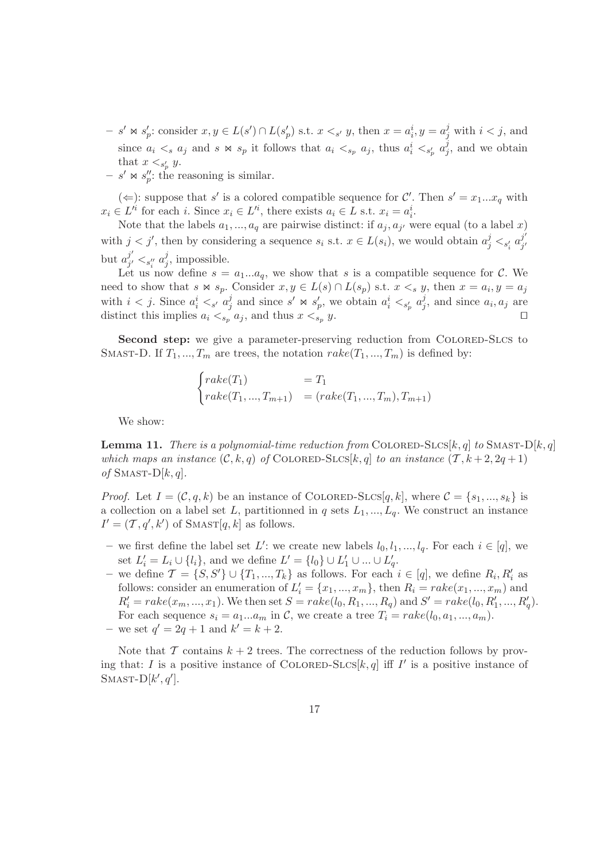- $-s' \Join s'_{p}$ : consider  $x, y \in L(s') \cap L(s'_{p})$  s.t.  $x <_{s'} y$ , then  $x = a_i^i, y = a_j^j$  with  $i < j$ , and since  $a_i \lt s a_j$  and  $s \Join s_p$  it follows that  $a_i \lt s_p a_j$ , thus  $a_i^i \lt s_p^i a_j^j$  $j$ , and we obtain that  $x <_{s_p} y$ .
- $s' \bowtie s''_p$ : the reasoning is similar.

(  $\Leftarrow$  ): suppose that s' is a colored compatible sequence for C'. Then s' = x<sub>1</sub>...x<sub>q</sub> with  $x_i \in L'^i$  for each i. Since  $x_i \in L'^i$ , there exists  $a_i \in L$  s.t.  $x_i = a_i^i$ .

Note that the labels  $a_1, ..., a_q$  are pairwise distinct: if  $a_j, a_{j'}$  were equal (to a label x) with  $j < j'$ , then by considering a sequence  $s_i$  s.t.  $x \in L(s_i)$ , we would obtain  $a_j^j <_{s_i'} a_{j'}^{j'}$ j ′ but  $a_{i'}^{j'}$  $j'_{j'} <_{s''_{i}} a^{j}_{j}$  $j$ , impossible.

Let us now define  $s = a_1...a_q$ , we show that s is a compatible sequence for C. We need to show that  $s \bowtie s_p$ . Consider  $x, y \in L(s) \cap L(s_p)$  s.t.  $x \leq_s y$ , then  $x = a_i, y = a_j$ with  $i < j$ . Since  $a_i^i < s$  a<sub>j</sub>  $j$  and since  $s' \Join s'_p$ , we obtain  $a_i^i \lt_{s'_p} a_j^j$  $j$ , and since  $a_i, a_j$  are distinct this implies  $a_i \leq_{s_p} a_j$ , and thus  $x \leq_{s_p} y$ . □

Second step: we give a parameter-preserving reduction from COLORED-SLCS to SMAST-D. If  $T_1, ..., T_m$  are trees, the notation  $\operatorname{rate}(T_1, ..., T_m)$  is defined by:

$$
\begin{cases}\n\text{rate}(T_1) & = T_1 \\
\text{rate}(T_1, ..., T_{m+1}) & = (\text{rate}(T_1, ..., T_m), T_{m+1})\n\end{cases}
$$

We show:

**Lemma 11.** There is a polynomial-time reduction from COLORED-SLCS[k, q] to SMAST-D[k, q] which maps an instance  $(C, k, q)$  of COLORED-SLCS[k, q] to an instance  $(T, k+2, 2q+1)$ of SMAST- $D[k, q]$ .

*Proof.* Let  $I = (\mathcal{C}, q, k)$  be an instance of COLORED-SLCS $[q, k]$ , where  $\mathcal{C} = \{s_1, ..., s_k\}$  is a collection on a label set L, partitionned in q sets  $L_1, ..., L_q$ . We construct an instance  $I' = (\mathcal{T}, q', k')$  of SMAST[ $q, k$ ] as follows.

- we first define the label set L': we create new labels  $l_0, l_1, ..., l_q$ . For each  $i \in [q]$ , we set  $L'_{i} = L_{i} \cup \{l_{i}\}\$ , and we define  $L' = \{l_{0}\} \cup L'_{1} \cup ... \cup L'_{q}$ .
- we define  $\mathcal{T} = \{S, S'\} \cup \{T_1, ..., T_k\}$  as follows. For each  $i \in [q]$ , we define  $R_i, R'_i$  as follows: consider an enumeration of  $L'_i = \{x_1, ..., x_m\}$ , then  $R_i = \text{rate}(x_1, ..., x_m)$  and  $R'_{i} = \text{rate}(x_m, ..., x_1)$ . We then set  $S = \text{rate}(l_0, R_1, ..., R_q)$  and  $S' = \text{rate}(l_0, R'_1, ..., R'_q)$ . For each sequence  $s_i = a_1...a_m$  in C, we create a tree  $T_i = \text{rate}(l_0, a_1, ..., a_m)$ .
- we set  $q' = 2q + 1$  and  $k' = k + 2$ .

Note that  $\mathcal T$  contains  $k+2$  trees. The correctness of the reduction follows by proving that: I is a positive instance of COLORED-SLCS $[k, q]$  iff I' is a positive instance of SMAST- $D[k', q']$ .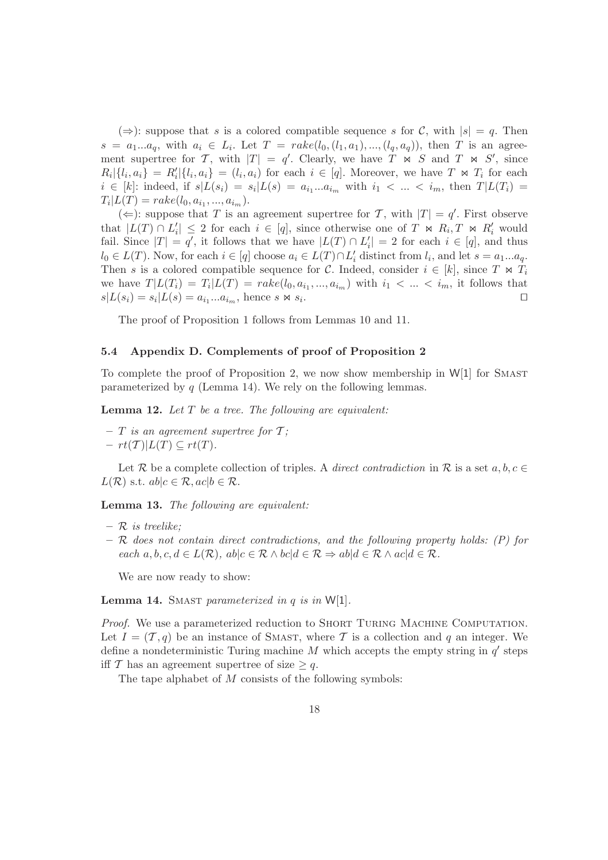(⇒): suppose that s is a colored compatible sequence s for C, with  $|s| = q$ . Then  $s = a_1...a_q$ , with  $a_i \in L_i$ . Let  $T = \text{rate}(l_0, (l_1, a_1), ..., (l_q, a_q))$ , then T is an agreement supertree for T, with  $|T| = q'$ . Clearly, we have T  $\ltimes S$  and T  $\ltimes S'$ , since  $R_i\vert \{l_i, a_i\} = R'_i\vert \{l_i, a_i\} = (l_i, a_i)$  for each  $i \in [q]$ . Moreover, we have  $T \Join T_i$  for each  $i \in [k]$ : indeed, if  $s|L(s_i) = s_i|L(s) = a_{i_1}...a_{i_m}$  with  $i_1 < ... < i_m$ , then  $T|L(T_i) =$  $T_i|L(T) = \text{rate}(l_0, a_{i_1}, ..., a_{i_m}).$ 

(  $\Leftarrow$  ): suppose that T is an agreement supertree for T, with  $|T| = q'$ . First observe that  $|L(T) \cap L'_i| \leq 2$  for each  $i \in [q]$ , since otherwise one of  $T \bowtie R_i$ ,  $T \bowtie R'_i$  would fail. Since  $|T| = q'$ , it follows that we have  $|L(T) \cap L'_i| = 2$  for each  $i \in [q]$ , and thus  $l_0 \in L(T)$ . Now, for each  $i \in [q]$  choose  $a_i \in L(T) \cap L'_i$  distinct from  $l_i$ , and let  $s = a_1...a_q$ . Then s is a colored compatible sequence for C. Indeed, consider  $i \in [k]$ , since  $T \bowtie T_i$ we have  $T|L(T_i) = T_i|L(T) = \text{rate}(l_0, a_{i_1}, ..., a_{i_m})$  with  $i_1 < ... < i_m$ , it follows that  $s|L(s_i) = s_i|L(s) = a_{i_1}...a_{i_m}$ , hence s  $\bowtie s_i$ . ⊓⊔

The proof of Proposition 1 follows from Lemmas 10 and 11.

#### 5.4 Appendix D. Complements of proof of Proposition 2

To complete the proof of Proposition 2, we now show membership in  $W[1]$  for SMAST parameterized by  $q$  (Lemma 14). We rely on the following lemmas.

**Lemma 12.** Let  $T$  be a tree. The following are equivalent:

- $-$  T is an agreement supertree for T;
- $-rt(T)$ [ $L(T) \subseteq rt(T)$ .

Let R be a complete collection of triples. A *direct contradiction* in R is a set  $a, b, c \in$  $L(\mathcal{R})$  s.t.  $ab|c \in \mathcal{R}$ ,  $ac|b \in \mathcal{R}$ .

Lemma 13. The following are equivalent:

- $-$  R is treelike:
- $-$  R does not contain direct contradictions, and the following property holds:  $(P)$  for each  $a, b, c, d \in L(\mathcal{R})$ ,  $ab|c \in \mathcal{R} \wedge bc|d \in \mathcal{R} \Rightarrow ab|d \in \mathcal{R} \wedge ac|d \in \mathcal{R}$ .

We are now ready to show:

**Lemma 14.** SMAST parameterized in q is in  $W[1]$ .

Proof. We use a parameterized reduction to SHORT TURING MACHINE COMPUTATION. Let  $I = (T, q)$  be an instance of SMAST, where T is a collection and q an integer. We define a nondeterministic Turing machine  $M$  which accepts the empty string in  $q'$  steps iff T has an agreement supertree of size  $\geq q$ .

The tape alphabet of M consists of the following symbols: